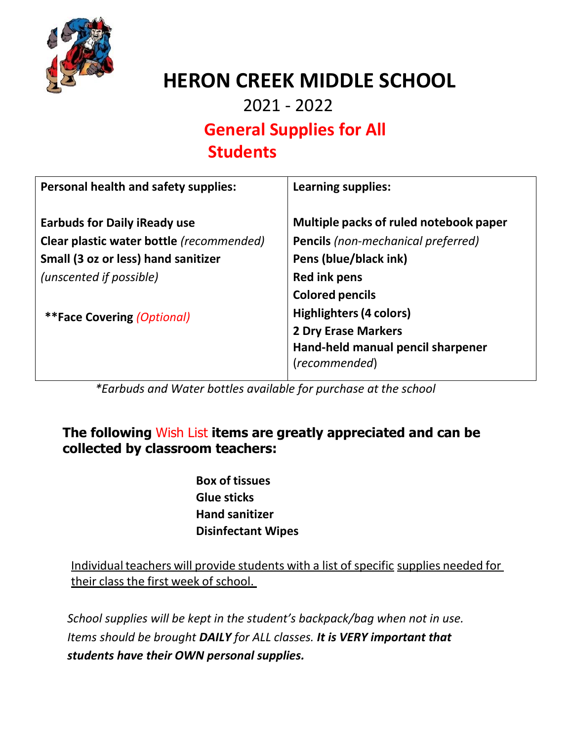

## **HERON CREEK MIDDLE SCHOOL**

2021 - 2022

 **General Supplies for All** 

### **Students**

| <b>Personal health and safety supplies:</b> | <b>Learning supplies:</b>                 |
|---------------------------------------------|-------------------------------------------|
| <b>Earbuds for Daily iReady use</b>         | Multiple packs of ruled notebook paper    |
| Clear plastic water bottle (recommended)    | <b>Pencils</b> (non-mechanical preferred) |
| Small (3 oz or less) hand sanitizer         | Pens (blue/black ink)                     |
| (unscented if possible)                     | <b>Red ink pens</b>                       |
|                                             | <b>Colored pencils</b>                    |
| <b>**Face Covering (Optional)</b>           | <b>Highlighters (4 colors)</b>            |
|                                             | <b>2 Dry Erase Markers</b>                |
|                                             | Hand-held manual pencil sharpener         |
|                                             | (recommended)                             |

 *\*Earbuds and Water bottles available for purchase at the school* 

#### **The following** Wish List **items are greatly appreciated and can be collected by classroom teachers:**

**Box of tissues Glue sticks Hand sanitizer Disinfectant Wipes**

Individual teachers will provide students with a list of specific supplies needed for their class the first week of school.

*School supplies will be kept in the student's backpack/bag when not in use. Items should be brought DAILY for ALL classes. It is VERY important that students have their OWN personal supplies.*